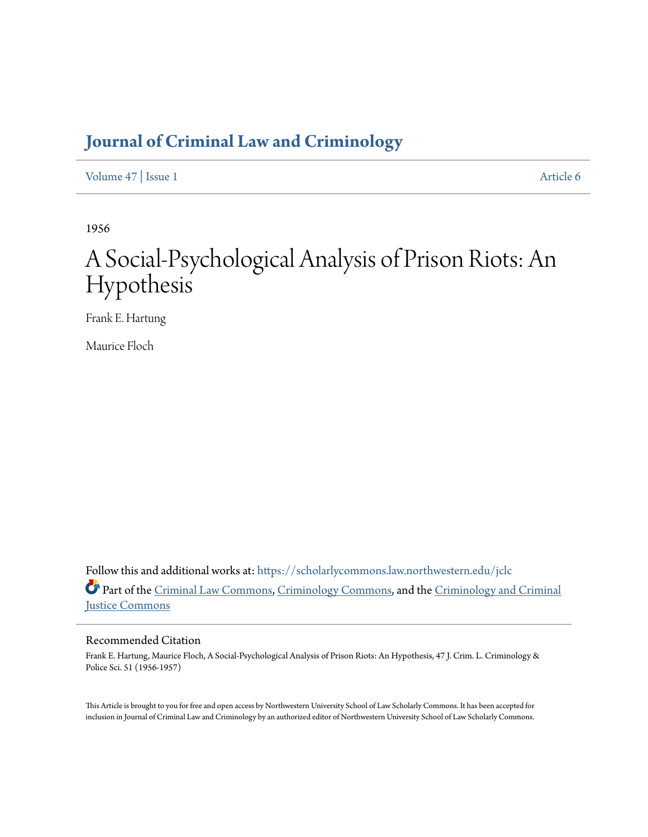# **[Journal of Criminal Law and Criminology](https://scholarlycommons.law.northwestern.edu/jclc?utm_source=scholarlycommons.law.northwestern.edu%2Fjclc%2Fvol47%2Fiss1%2F6&utm_medium=PDF&utm_campaign=PDFCoverPages)**

[Volume 47](https://scholarlycommons.law.northwestern.edu/jclc/vol47?utm_source=scholarlycommons.law.northwestern.edu%2Fjclc%2Fvol47%2Fiss1%2F6&utm_medium=PDF&utm_campaign=PDFCoverPages) | [Issue 1](https://scholarlycommons.law.northwestern.edu/jclc/vol47/iss1?utm_source=scholarlycommons.law.northwestern.edu%2Fjclc%2Fvol47%2Fiss1%2F6&utm_medium=PDF&utm_campaign=PDFCoverPages) [Article 6](https://scholarlycommons.law.northwestern.edu/jclc/vol47/iss1/6?utm_source=scholarlycommons.law.northwestern.edu%2Fjclc%2Fvol47%2Fiss1%2F6&utm_medium=PDF&utm_campaign=PDFCoverPages)

1956

# A Social-Psychological Analysis of Prison Riots: An Hypothesis

Frank E. Hartung

Maurice Floch

Follow this and additional works at: [https://scholarlycommons.law.northwestern.edu/jclc](https://scholarlycommons.law.northwestern.edu/jclc?utm_source=scholarlycommons.law.northwestern.edu%2Fjclc%2Fvol47%2Fiss1%2F6&utm_medium=PDF&utm_campaign=PDFCoverPages) Part of the [Criminal Law Commons](http://network.bepress.com/hgg/discipline/912?utm_source=scholarlycommons.law.northwestern.edu%2Fjclc%2Fvol47%2Fiss1%2F6&utm_medium=PDF&utm_campaign=PDFCoverPages), [Criminology Commons](http://network.bepress.com/hgg/discipline/417?utm_source=scholarlycommons.law.northwestern.edu%2Fjclc%2Fvol47%2Fiss1%2F6&utm_medium=PDF&utm_campaign=PDFCoverPages), and the [Criminology and Criminal](http://network.bepress.com/hgg/discipline/367?utm_source=scholarlycommons.law.northwestern.edu%2Fjclc%2Fvol47%2Fiss1%2F6&utm_medium=PDF&utm_campaign=PDFCoverPages) [Justice Commons](http://network.bepress.com/hgg/discipline/367?utm_source=scholarlycommons.law.northwestern.edu%2Fjclc%2Fvol47%2Fiss1%2F6&utm_medium=PDF&utm_campaign=PDFCoverPages)

## Recommended Citation

Frank E. Hartung, Maurice Floch, A Social-Psychological Analysis of Prison Riots: An Hypothesis, 47 J. Crim. L. Criminology & Police Sci. 51 (1956-1957)

This Article is brought to you for free and open access by Northwestern University School of Law Scholarly Commons. It has been accepted for inclusion in Journal of Criminal Law and Criminology by an authorized editor of Northwestern University School of Law Scholarly Commons.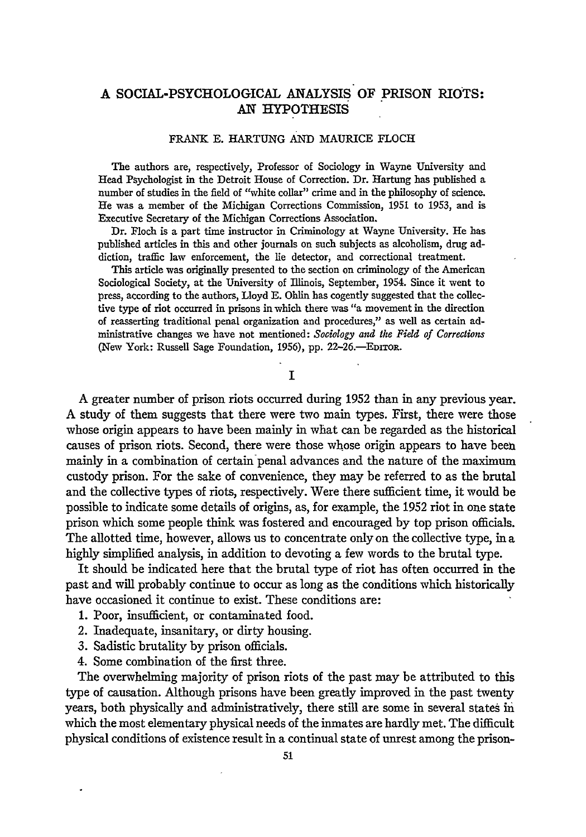## **A** SOCIAL-PSYCHOLOGICAL ANALYSIS OF PRISON RIOTS: AN HYPOTHESIS

#### FRANK E. HARTUNG AND MAURICE FLOCH

The authors are, respectively, Professor of Sociology in Wayne University and Head Psychologist in the Detroit House of Correction. Dr. Hartung has published a number of studies in the field of "white collar" crime and in the philosophy of science. He was a member of the Michigan Corrections Commission, 1951 to **1953,** and is Executive Secretary of the Michigan Corrections Association.

Dr. Floch is a part time instructor in Criminology at Wayne University. He has published articles in this and other journals on such subjects as alcoholism, drug addiction, traffic law enforcement, the lie detector, and correctional treatment.

This article was originally presented to the section on criminology of the American Sociological Society, at the University of Illinois, September, 1954. Since it went to press, according to the authors, Lloyd **E.** Ohlin has cogently suggested that the collective type of riot occurred in prisons in which there was "a movement in the direction of reasserting traditional penal organization and procedures," as well as certain administrative changes we have not mentioned: *Sociology and the Field of Corrections* (New York: Russell Sage Foundation, **1956), pp.** 22-26.-EDITOR.

#### T

**A** greater number of prison riots occurred during **1952** than in any previous year. **A** study of them suggests that there were two main types. First, there were those whose origin appears to have been mainly in what can be regarded as the historical causes of prison riots. Second, there were those whose origin appears to have been mainly in a combination of certain-penal advances and the nature of the maximum custody prison. For the sake of convenience, they may be referred to as the brutal and the collective types of riots, respectively. Were there sufficient time, it would be possible to indicate some details of origins, as, for example, the **1952** riot in one state prison which some people think was fostered and encouraged **by** top prison officials. The allotted time, however, allows us to concentrate only on the collective type, in a **highly** simplified analysis, in addition to devoting a few words to the brutal type.

It should be indicated here that the brutal type of riot has often occurred in the past and will probably continue to occur as long as the conditions which historically have occasioned it continue to exist. These conditions are:

- 1. Poor, insufficient, or contaminated food.
- 2. Inadequate, insanitary, or dirty housing.
- 3. Sadistic brutality by prison officials.
- 4. Some combination of the first three.

The overwhelming majority of prison riots of the past may be attributed to this type of causation. Although prisons have been greatly improved in the past twenty years, both physically and administratively, there still are some in several states in which the most elementary physical needs of the inmates are hardly met. The difficult physical conditions of existence result in a continual state of unrest among the prison-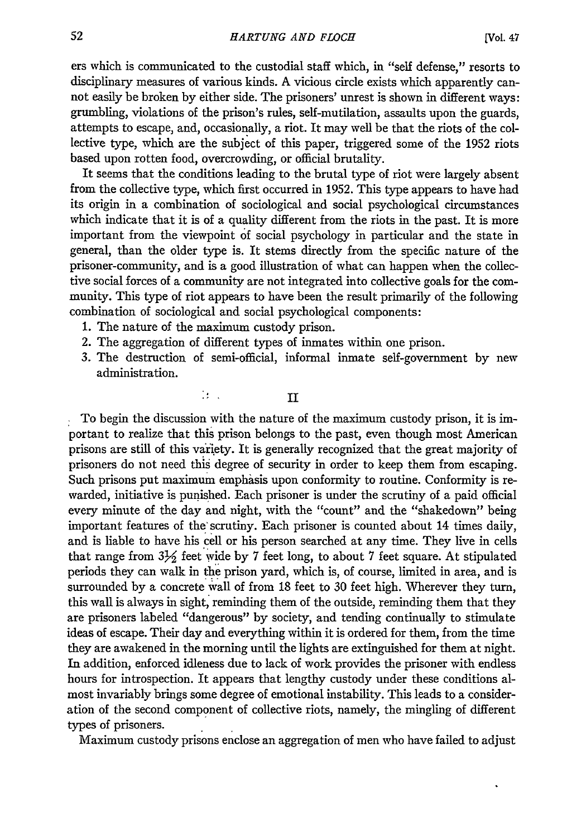ers which is communicated to the custodial staff which, in "self defense," resorts to disciplinary measures of various kinds. A vicious circle exists which apparently cannot easily be broken by either side. The prisoners' unrest is shown in different ways: grumbling, violations of the prison's rules, self-mutilation, assaults upon the guards, attempts to escape, and, occasionally, a riot. It may well be that the riots of the collective type, which are the subject of this paper, triggered some of the 1952 riots based upon rotten food, overcrowding, or official brutality.

It seems that the conditions leading to the brutal type of riot were largely absent from the collective type, which first occurred in 1952. This type appears to have had its origin in a combination of sociological and social psychological circumstances which indicate that it is of a quality different from the riots in the past. It is more important from the viewpoint of social psychology in particular and the state in general, than the older type is. It stems directly from the specific nature of the prisoner-community, and is a good illustration of what can happen when the collective social forces of a community are not integrated into collective goals for the community. This type of riot appears to have been the result primarily of the following combination of sociological and social psychological components:

1. The nature of the maximum custody prison.

 $\mathbb{R}^n$ 

- 2. The aggregation of different types of inmates within one prison.
- 3. The destruction of semi-official, informal inmate self-government by new administration.

**II**

To begin the discussion with the nature of the maximum custody prison, it is important to realize that this prison belongs to the past, even though most American prisons are still of this variety. It is generally recognized that the great majority of prisoners do not need this degree of security in order to keep them from escaping. Such prisons put maximum emphasis upon conformity to routine. Conformity is rewarded, initiative is punished. Each prisoner is under the scrutiny of a paid official every minute of the day and night, with the "count" and the "shakedown" being important features of the scrutiny. Each prisoner is counted about 14 times daily, and is liable to have his cell or his person searched at any time. They live in cells that range from  $3\frac{1}{2}$  feet wide by 7 feet long, to about 7 feet square. At stipulated periods they can walk in the prison yard, which is, of course, limited in area, and is surrounded by a concrete wall of from 18 feet to 30 feet high. Wherever they turn, this wall is always in sight, reminding them of the outside, reminding them that they are prisoners labeled "dangerous" by society, and tending continually to stimulate ideas of escape. Their day and everything within it is ordered for them, from the time they are awakened in the morning until the lights are extinguished for them at night. In addition, enforced idleness due to lack of work provides the prisoner with endless hours for introspection. It appears that lengthy custody under these conditions almost invariably brings some degree of emotional instability. This leads to a consideration of the second component of collective riots, namely, the mingling of different types of prisoners.

Maximum custody prisons enclose an aggregation of men who have failed to adjust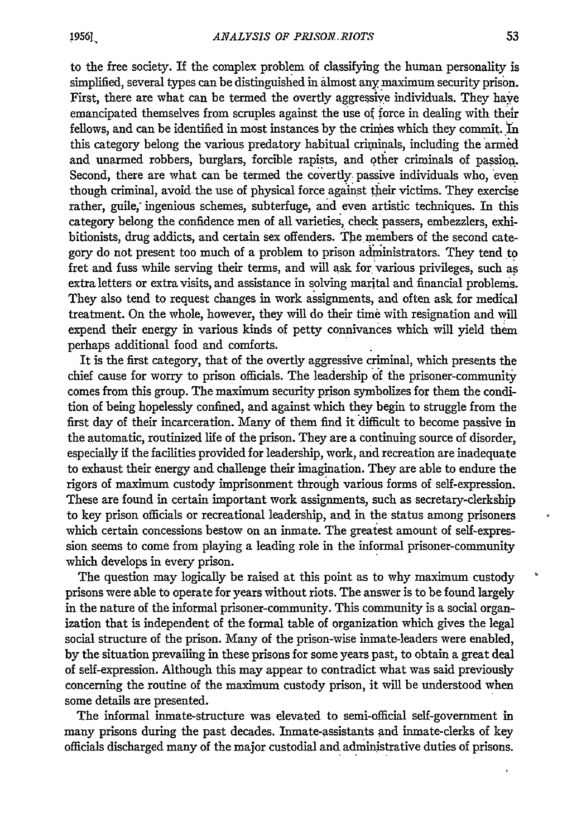to the free society. If the complex problem of classifying the human personality is simplified, several types can be distinguished in almost any maximum security prison. First, there are what can be termed the overtly aggressive individuals. They have emancipated themselves from scruples against the use of force in dealing with their fellows, and can be identified in most instances by the crimes which they commit. In this category belong the various predatory habitual crimninals, including the armed and unarmed robbers, burglars, forcible rapists, and other criminals of passion. Second, there are what can be termed the covertly passive individuals who, even though criminal, avoid the use of physical force against their victims. They exercise rather, guile; ingenious schemes, subterfuge, and even artistic techniques. In this category belong the confidence men of all varieties, check passers, embezzlers, exhibitionists, drug addicts, and certain sex offenders. The members of the second category do not present too much of a problem to prison administrators. They tend to fret and fuss while serving their terms, and will ask for various privileges, such as extra letters or extra visits, and assistance in solving marital and financial problems. They also tend to request changes in work assignments, and often ask for medical treatment. On the whole, however, they will do their time with resignation and will expend their energy in various kinds of petty connivances which will yield them perhaps additional food and comforts.

It is the first category, that of the overtly aggressive criminal, which presents the chief cause for worry to prison officials. The leadership of the prisoner-community comes from this group. The maximum security prison symbolizes for them the condition of being hopelessly confined, and against which they begin to struggle from the first day of their incarceration. Many of them find it difficult to become passive in the automatic, routinized life of the prison. They are a continuing source of disorder, especially if the facilities provided for leadership, work, and recreation are inadequate to exhaust their energy and challenge their imagination. They are able to endure the rigors of maximum custody imprisonment through various forms of self-expression. These are found in certain important work assignments, such as secretary-clerkship to key prison officials or recreational leadership, and in the status among prisoners which certain concessions bestow on an inmate. The greatest amount of self-expression seems to come from playing a leading role in the informal prisoner-community which develops in every prison.

The question may logically be raised at this point as to why maximum custody prisons were able to operate for years without riots. The answer is to be found largely in the nature of the informal prisoner-community. This community is a social organization that is independent of the formal table of organization which gives the legal social structure of the prison. Many of the prison-wise inmate-leaders were enabled, **by** the situation prevailing in these prisons for some years past, to obtain a great deal of self-expression. Although this may appear to contradict what was said previously concerning the routine of the maximum custody prison, it will be understood when some details are presented.

The informal inmate-structure was elevated to semi-official self-government in many prisons during the past decades. Inmate-assistants and inmate-clerks of key officials discharged many of the major custodial and administrative duties of prisons.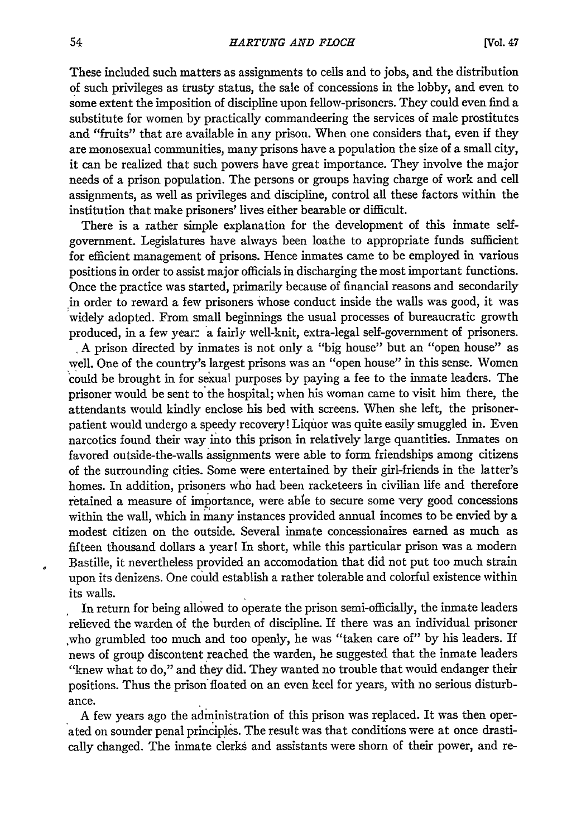These included such matters as assignments to cells and to jobs, and the distribution of such privileges as trusty status, the sale of concessions in the lobby, and even to some extent the imposition of discipline upon fellow-prisoners. They could even find a substitute for women by practically commandeering the services of male prostitutes and "fruits" that are available in any prison. When one considers that, even if they are monosexual communities, many prisons have a population the size of a small city, it can be realized that such powers have great importance. They involve the major needs of a prison population. The persons or groups having charge of work and cell assignments, as well as privileges and discipline, control all these factors within the institution that make prisoners' lives either bearable or difficult.

There is a rather simple explanation for the development of this inmate selfgovernment. Legislatures have always been loathe to appropriate funds sufficient for efficient management of prisons. Hence inmates came to be employed in various positions in order to assist major officials in discharging the most important functions. Once the practice was started, primarily because of financial reasons and secondarily in order to reward a few prisoners whose conduct inside the walls was good, it was widely adopted. From small beginnings the usual processes of bureaucratic growth produced, in a few year: a fairly well-knit, extra-legal self-government of prisoners.

• A prison directed by inmates is not only a "big house" but an "open house" as well. One of the country's largest prisons was an "open house" in this sense. Women could be brought in for se'xual purposes by paying a fee to the inmate leaders. The prisoner would be sent to the hospital; when his woman came to visit him there, the attendants would kindly enclose his bed with screens. When she left, the prisonerpatient would undergo a speedy recovery! Liquor was quite easily smuggled in. Even narcotics found their way into this prison in relatively large quantities. Inmates on favored outside-the-walls assignments were able to form friendships among citizens of the surrounding cities. Some were entertained by their girl-friends in the latter's homes. In addition, prisoners who had been racketeers in civilian life and therefore retained a measure of importance, were able to secure some very good concessions within the wall, which in many instances provided annual incomes to be envied by a modest citizen on the outside. Several inmate concessionaires earned as much as fifteen thousand dollars a year! In short, while this particular prison was a modern Bastille, it nevertheless provided an accomodation that did not put too much strain upon its denizens. One could establish a rather tolerable and colorful existence within its walls.

In return for being allowed to operate the prison semi-officially, the inmate leaders relieved the warden of the burden of discipline. If there was an individual prisoner .who grumbled too much and too openly, he was "taken care of" by his leaders. If news of group discontent reached the warden, he suggested that the inmate leaders "knew what to do," and they did. They wanted no trouble that would endanger their positions. Thus the prison'floated on an even keel for years, with no serious disturbance.

A few years ago the administration of this prison was replaced. It was then operated on sounder penal principles. The result was that conditions were at once drastically changed. The inmate clerks and assistants were shorn of their power, and re-

 $\overline{a}$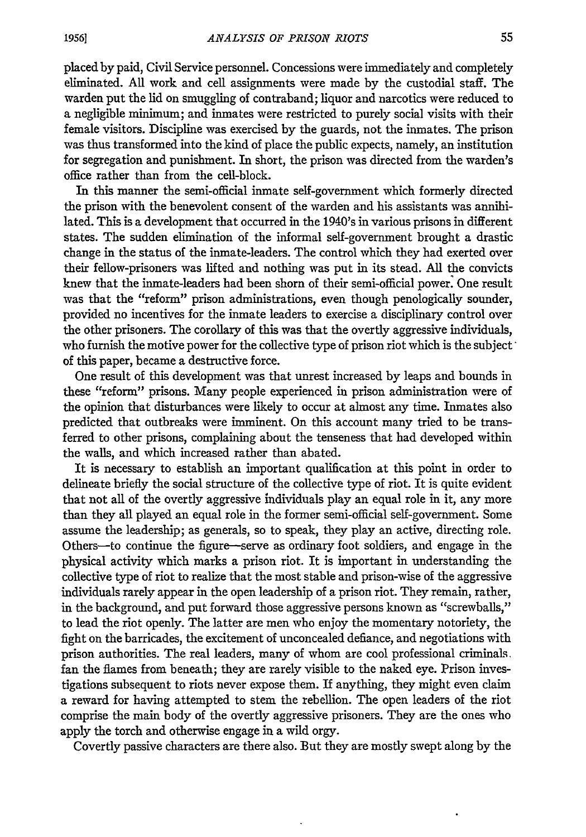placed by paid, Civil Service personnel. Concessions were immediately and completely eliminated. All work and cell assignments were made by the custodial staff. The warden put the lid on smuggling of contraband; liquor and narcotics were reduced to a negligible minimum; and inmates were restricted to purely social visits with their female visitors. Discipline was exercised by the guards, not the inmates. The prison was thus transformed into the kind of place the public expects, namely, an institution for segregation and punishment. In short, the prison was directed from the warden's office rather than from the cell-block.

In this manner the semi-official inmate self-government which formerly directed the prison with the benevolent consent of the warden and his assistants was annihilated. This is a development that occurred in the 1940's in various prisons in different states. The sudden elimination of the informal self-government brought a drastic change in the status of the inmate-leaders. The control which they had exerted over their fellow-prisoners was lifted and nothing was put in its stead. All the convicts knew that the inmate-leaders had been shorn of their semi-official power. One result was that the "reform" prison administrations, even though penologically sounder, provided no incentives for the inmate leaders to exercise a disciplinary control over the other prisoners. The corollary of this was that the overtly aggressive individuals, who furnish the motive power for the collective type of prison riot which is the subject of this paper, became a destructive force.

One result of this development was that unrest increased by leaps and bounds in these "reform" prisons. Many people experienced in prison administration were of the opinion that disturbances were likely to occur at almost any time. Inmates also predicted that outbreaks were imminent. On this account many tried to be transferred to other prisons, complaining about the tenseness that had developed within the walls, and which increased rather than abated.

It is necessary to establish an important qualification at this point in order to delineate briefly the social structure of the collective type of riot. It is quite evident that not all of the overtly aggressive individuals play an equal role in it, any more than they all played an equal role in the former semi-official sell-government. Some assume the leadership; as generals, so to speak, they play an active, directing role. Others-to continue the figure-serve as ordinary foot soldiers, and engage in the physical activity which marks a prison riot. It is important in understanding the collective type of riot to realize that the most stable and prison-wise of the aggressive individuals rarely appear in the open leadership of a prison riot. They remain, rather, in the background, and put forward those aggressive persons known as "screwballs," to lead the riot openly. The latter are men who enjoy the momentary notoriety, the fight on the barricades, the excitement of unconcealed defiance, and negotiations with prison authorities. The real leaders, many of whom are cool professional criminals. fan the flames from beneath; they are rarely visible to the naked eye. Prison investigations subsequent to riots never expose them. If anything, they might even claim a reward for having attempted to stem the rebellion. The open leaders of the riot comprise the main body of the overtly aggressive prisoners. They are the ones who apply the torch and otherwise engage in a wild orgy.

Covertly passive characters are there also. But they are mostly swept along by the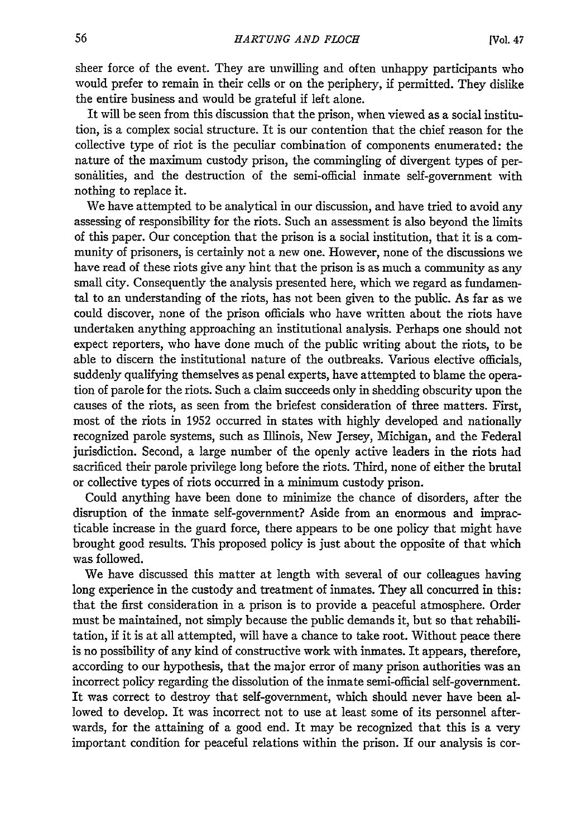sheer force of the event. They are unwilling and often unhappy participants who would prefer to remain in their cells or on the periphery, if permitted. They dislike the entire business and would be grateful if left alone.

It will be seen from this discussion that the prison, when viewed as a social institution, is a complex social structure. It is our contention that the chief reason for the collective type of riot is the peculiar combination of components enumerated: the nature of the maximum custody prison, the commingling of divergent types of personalities, and the destruction of the semi-official inmate self-government with nothing to replace it.

We have attempted to be analytical in our discussion, and have tried to avoid any assessing of responsibility for the riots. Such an assessment is also beyond the limits of this paper. Our conception that the prison is a social institution, that it is a community of prisoners, is certainly not a new one. However, none of the discussions we have read of these riots give any hint that the prison is as much a community as any small city. Consequently the analysis presented here, which we regard as fundamental to an understanding of the riots, has not been given to the public. As far as we could discover, none of the prison officials who have written about the riots have undertaken anything approaching an institutional analysis. Perhaps one should not expect reporters, who have done much of the public writing about the riots, to be able to discern the institutional nature of the outbreaks. Various elective officials, suddenly qualifying themselves as penal experts, have attempted to blame the operation of parole for the riots. Such a claim succeeds only in shedding obscurity upon the causes of the riots, as seen from the briefest consideration of three matters. First, most of the riots in 1952 occurred in states with highly developed and nationally recognized parole systems, such as Illinois, New Jersey, Michigan, and the Federal jurisdiction. Second, a large number of the openly active leaders in the riots had sacrificed their parole privilege long before the riots. Third, none of either the brutal or collective types of riots occurred in a minimum custody prison.

Could anything have been done to minimize the chance of disorders, after the disruption of the inmate self-government? Aside from an enormous and impracticable increase in the guard force, there appears to be one policy that might have brought good results. This proposed policy is just about the opposite of that which was followed.

We have discussed this matter at length with several of our colleagues having long experience in the custody and treatment of inmates. They all concurred in this: that the first consideration in a prison is to provide a peaceful atmosphere. Order must be maintained, not simply because the public demands it, but so that rehabilitation, if it is at all attempted, will have a chance to take root. Without peace there is no possibility of any kind of constructive work with inmates. It appears, therefore, according to our hypothesis, that the major error of many prison authorities was an incorrect policy regarding the dissolution of the inmate semi-official self-government. It was correct to destroy that self-government, which should never have been allowed to develop. It was incorrect not to use at least some of its personnel afterwards, for the attaining of a good end. It may be recognized that this is a very important condition for peaceful relations within the prison. If our analysis is cor-